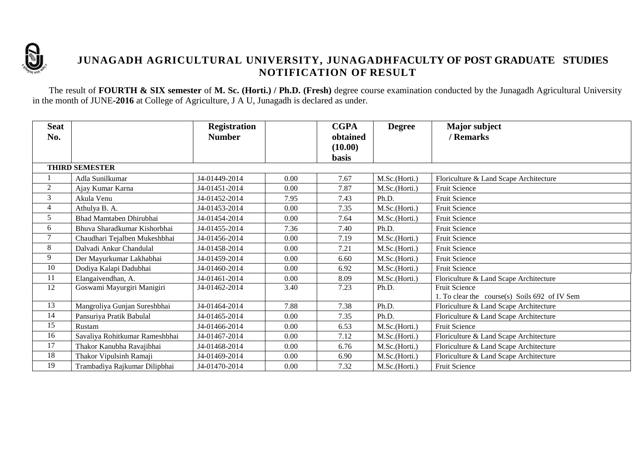

## **JUNAGADH AGRICULTURAL UNIVERSITY, JUNAGADHFACULTY OF POST GRADUATE STUDIES NOTIFICATION OF RESULT**

The result of **FOURTH & SIX semester** of **M. Sc. (Horti.) / Ph.D. (Fresh)** degree course examination conducted by the Junagadh Agricultural University in the month of JUNE**-2016** at College of Agriculture, J A U, Junagadh is declared as under.

| <b>Seat</b><br>No. |                                | <b>Registration</b><br><b>Number</b> |      | <b>CGPA</b><br>obtained<br>(10.00) | <b>Degree</b> | <b>Major</b> subject<br>/ Remarks                                     |
|--------------------|--------------------------------|--------------------------------------|------|------------------------------------|---------------|-----------------------------------------------------------------------|
|                    |                                |                                      |      | <b>basis</b>                       |               |                                                                       |
|                    | <b>THIRD SEMESTER</b>          |                                      |      |                                    |               |                                                                       |
|                    | Adla Sunilkumar                | J4-01449-2014                        | 0.00 | 7.67                               | M.Sc.(Horti.) | Floriculture & Land Scape Architecture                                |
| $\overline{c}$     | Ajay Kumar Karna               | J4-01451-2014                        | 0.00 | 7.87                               | M.Sc.(Horti.) | <b>Fruit Science</b>                                                  |
| 3                  | Akula Venu                     | J4-01452-2014                        | 7.95 | 7.43                               | Ph.D.         | <b>Fruit Science</b>                                                  |
| 4                  | Athulya B. A.                  | J4-01453-2014                        | 0.00 | 7.35                               | M.Sc.(Horti.) | Fruit Science                                                         |
| 5                  | Bhad Mamtaben Dhirubhai        | J4-01454-2014                        | 0.00 | 7.64                               | M.Sc.(Horti.) | <b>Fruit Science</b>                                                  |
| 6                  | Bhuva Sharadkumar Kishorbhai   | J4-01455-2014                        | 7.36 | 7.40                               | Ph.D.         | Fruit Science                                                         |
| 7                  | Chaudhari Tejalben Mukeshbhai  | J4-01456-2014                        | 0.00 | 7.19                               | M.Sc.(Horti.) | Fruit Science                                                         |
| 8                  | Dalvadi Ankur Chandulal        | J4-01458-2014                        | 0.00 | 7.21                               | M.Sc.(Horti.) | Fruit Science                                                         |
| 9                  | Der Mayurkumar Lakhabhai       | J4-01459-2014                        | 0.00 | 6.60                               | M.Sc.(Horti.) | <b>Fruit Science</b>                                                  |
| 10                 | Dodiya Kalapi Dadubhai         | J4-01460-2014                        | 0.00 | 6.92                               | M.Sc.(Horti.) | Fruit Science                                                         |
| 11                 | Elangaivendhan, A.             | J4-01461-2014                        | 0.00 | 8.09                               | M.Sc.(Horti.) | Floriculture & Land Scape Architecture                                |
| 12                 | Goswami Mayurgiri Manigiri     | J4-01462-2014                        | 3.40 | 7.23                               | Ph.D.         | <b>Fruit Science</b><br>1. To clear the course(s) Soils 692 of IV Sem |
| 13                 | Mangroliya Gunjan Sureshbhai   | J4-01464-2014                        | 7.88 | 7.38                               | Ph.D.         | Floriculture & Land Scape Architecture                                |
| 14                 | Pansuriya Pratik Babulal       | J4-01465-2014                        | 0.00 | 7.35                               | Ph.D.         | Floriculture & Land Scape Architecture                                |
| 15                 | Rustam                         | J4-01466-2014                        | 0.00 | 6.53                               | M.Sc.(Horti.) | Fruit Science                                                         |
| 16                 | Savaliya Rohitkumar Rameshbhai | J4-01467-2014                        | 0.00 | 7.12                               | M.Sc.(Horti.) | Floriculture & Land Scape Architecture                                |
| 17                 | Thakor Kanubha Ravajibhai      | J4-01468-2014                        | 0.00 | 6.76                               | M.Sc.(Horti.) | Floriculture & Land Scape Architecture                                |
| 18                 | Thakor Vipulsinh Ramaji        | J4-01469-2014                        | 0.00 | 6.90                               | M.Sc.(Horti.) | Floriculture & Land Scape Architecture                                |
| 19                 | Trambadiya Rajkumar Dilipbhai  | J4-01470-2014                        | 0.00 | 7.32                               | M.Sc.(Horti.) | Fruit Science                                                         |